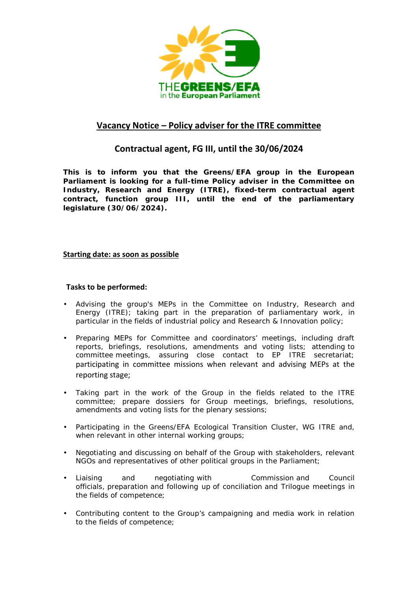

# **Vacancy Notice – Policy adviser for the ITRE committee**

## **Contractual agent, FG III, until the 30/06/2024**

**This is to inform you that the Greens/EFA group in the European Parliament is looking for a full-time Policy adviser in the Committee on Industry, Research and Energy (ITRE), fixed-term contractual agent contract, function group III, until the end of the parliamentary legislature (30/06/2024).**

### **Starting date: as soon as possible**

### **Tasks to be performed:**

- Advising the group's MEPs in the Committee on Industry, Research and Energy (ITRE); taking part in the preparation of parliamentary work, in particular in the fields of industrial policy and Research & Innovation policy;
- Preparing MEPs for Committee and coordinators' meetings, including draft reports, briefings, resolutions, amendments and voting lists; attending to committee meetings, assuring close contact to EP ITRE secretariat; participating in committee missions when relevant and advising MEPs at the reporting stage;
- Taking part in the work of the Group in the fields related to the ITRE committee; prepare dossiers for Group meetings, briefings, resolutions, amendments and voting lists for the plenary sessions;
- Participating in the Greens/EFA Ecological Transition Cluster, WG ITRE and, when relevant in other internal working groups;
- Negotiating and discussing on behalf of the Group with stakeholders, relevant NGOs and representatives of other political groups in the Parliament;
- Liaising and negotiating with Commission and Council officials, preparation and following up of conciliation and Trilogue meetings in the fields of competence;
- Contributing content to the Group's campaigning and media work in relation to the fields of competence;